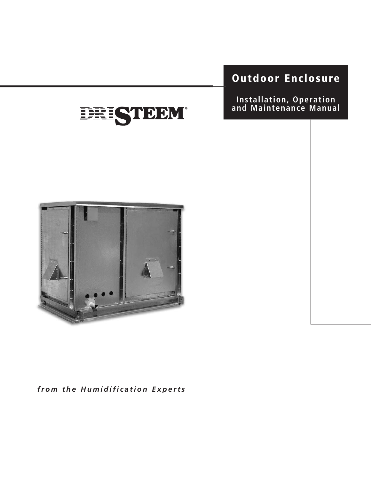# Outdoor Enclosure

Installation, Operation and Maintenance Manual





from the Humidification Experts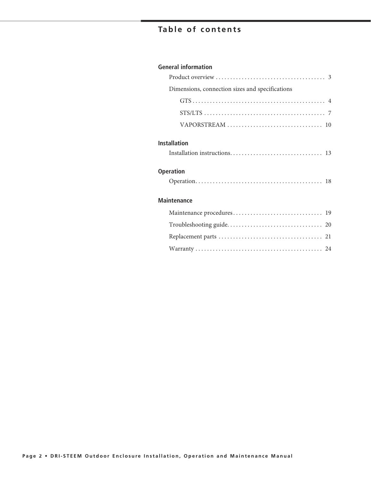# **Table of contents**

#### **General information**

| Dimensions, connection sizes and specifications                                                      |
|------------------------------------------------------------------------------------------------------|
|                                                                                                      |
| $STS/LTS \ldots \ldots \ldots \ldots \ldots \ldots \ldots \ldots \ldots \ldots \ldots \ldots \ldots$ |
|                                                                                                      |
| <b>Installation</b><br><b>Operation</b>                                                              |
|                                                                                                      |
| <b>Maintenance</b>                                                                                   |
|                                                                                                      |
|                                                                                                      |
|                                                                                                      |
|                                                                                                      |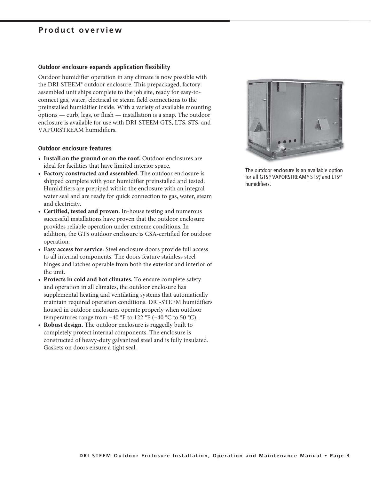### Product overview

#### Outdoor enclosure expands application flexibility

Outdoor humidifier operation in any climate is now possible with the DRI-STEEM<sup>®</sup> outdoor enclosure. This prepackaged, factoryassembled unit ships complete to the job site, ready for easy-toconnect gas, water, electrical or steam field connections to the preinstalled humidifier inside. With a variety of available mounting options — curb, legs, or flush — installation is a snap. The outdoor enclosure is available for use with DRI-STEEM GTS, LTS, STS, and VAPORSTREAM humidifiers.

#### **Outdoor enclosure features**

- Install on the ground or on the roof. Outdoor enclosures are ideal for facilities that have limited interior space.
- Factory constructed and assembled. The outdoor enclosure is shipped complete with your humidifier preinstalled and tested. Humidifiers are prepiped within the enclosure with an integral water seal and are ready for quick connection to gas, water, steam and electricity.
- Certified, tested and proven. In-house testing and numerous successful installations have proven that the outdoor enclosure provides reliable operation under extreme conditions. In addition, the GTS outdoor enclosure is CSA-certified for outdoor operation.
- Easy access for service. Steel enclosure doors provide full access to all internal components. The doors feature stainless steel hinges and latches operable from both the exterior and interior of the unit.
- Protects in cold and hot climates. To ensure complete safety and operation in all climates, the outdoor enclosure has supplemental heating and ventilating systems that automatically maintain required operation conditions. DRI-STEEM humidifiers housed in outdoor enclosures operate properly when outdoor temperatures range from  $-40$  °F to 122 °F ( $-40$  °C to 50 °C).
- Robust design. The outdoor enclosure is ruggedly built to completely protect internal components. The enclosure is constructed of heavy-duty galvanized steel and is fully insulated. Gaskets on doors ensure a tight seal.



The outdoor enclosure is an available option for all GTS® VAPORSTREAM®, STS®, and LTS® humidifiers.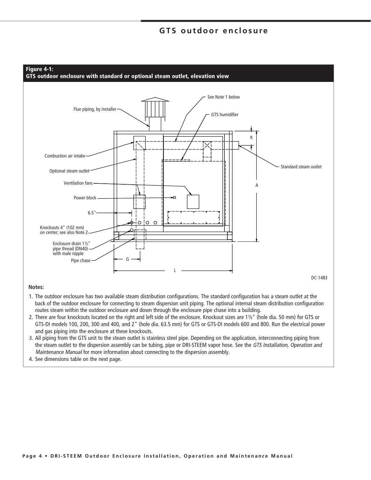### **GTS outdoor enclosure**



#### Notes:

- 1. The outdoor enclosure has two available steam distribution configurations. The standard configuration has a steam outlet at the back of the outdoor enclosure for connecting to steam dispersion unit piping. The optional internal steam distribution configuration routes steam within the outdoor enclosure and down through the enclosure pipe chase into a building.
- 2. There are four knockouts located on the right and left side of the enclosure. Knockout sizes are 11/2" (hole dia. 50 mm) for GTS or GTS-DI models 100, 200, 300 and 400, and 2" (hole dia. 63.5 mm) for GTS or GTS-DI models 600 and 800. Run the electrical power and gas piping into the enclosure at these knockouts.
- 3. All piping from the GTS unit to the steam outlet is stainless steel pipe. Depending on the application, interconnecting piping from the steam outlet to the dispersion assembly can be tubing, pipe or DRI-STEEM vapor hose. See the GTS Installation, Operation and Maintenance Manual for more information about connecting to the dispersion assembly.
- 4. See dimensions table on the next page.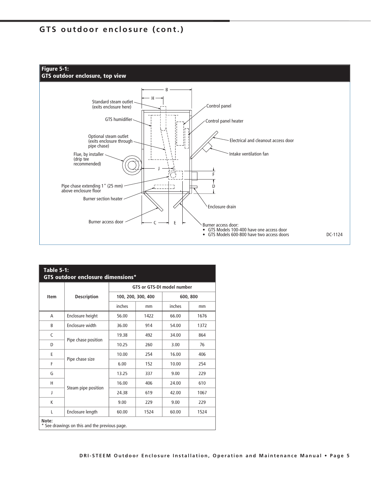# GTS outdoor enclosure (cont.)



| <b>Table 5-1:</b><br>GTS outdoor enclosure dimensions* |                     |        |                    |                                   |      |
|--------------------------------------------------------|---------------------|--------|--------------------|-----------------------------------|------|
|                                                        |                     |        |                    | <b>GTS or GTS-DI model number</b> |      |
| <b>Item</b>                                            | <b>Description</b>  |        | 100, 200, 300, 400 | 600, 800                          |      |
|                                                        |                     | inches | mm                 | inches                            | mm   |
| A                                                      | Enclosure height    | 56.00  | 1422               | 66.00                             | 1676 |
| B                                                      | Enclosure width     | 36.00  | 914                | 54.00                             | 1372 |
| C                                                      |                     | 19.38  | 492                | 34.00                             | 864  |
| D                                                      | Pipe chase position | 10.25  | 260                | 3.00                              | 76   |
| E                                                      |                     | 10.00  | 254                | 16.00                             | 406  |
| F                                                      | Pipe chase size     | 6.00   | 152                | 10.00                             | 254  |
| G                                                      |                     | 13.25  | 337                | 9.00                              | 229  |
| Н                                                      | Steam pipe position | 16.00  | 406                | 24.00                             | 610  |
| J                                                      |                     | 24.38  | 619                | 42.00                             | 1067 |
| K                                                      |                     | 9.00   | 229                | 9.00                              | 229  |
| L                                                      | Enclosure length    | 60.00  | 1524               | 60.00                             | 1524 |
| Note:<br>* See drawings on this and the previous page. |                     |        |                    |                                   |      |

| Item                                                   | <b>Description</b>  |        | 100, 200, 300, 400 |        | 600, 800 |
|--------------------------------------------------------|---------------------|--------|--------------------|--------|----------|
|                                                        |                     | inches | mm                 | inches | mm       |
| A                                                      | Enclosure height    | 56.00  | 1422               | 66.00  | 1676     |
| B                                                      | Enclosure width     | 36.00  | 914                | 54.00  | 1372     |
| C                                                      |                     | 19.38  | 492                | 34.00  | 864      |
| D                                                      | Pipe chase position | 10.25  | 260                | 3.00   | 76       |
| E                                                      |                     | 10.00  | 254                | 16.00  | 406      |
| F                                                      | Pipe chase size     | 6.00   | 152                | 10.00  | 254      |
| G                                                      |                     | 13.25  | 337                | 9.00   | 229      |
| Н                                                      |                     | 16.00  | 406                | 24.00  | 610      |
| J                                                      | Steam pipe position | 24.38  | 619                | 42.00  | 1067     |
| K                                                      |                     | 9.00   | 229                | 9.00   | 229      |
| L                                                      | Enclosure length    | 60.00  | 1524               | 60.00  | 1524     |
| Note:<br>* See drawings on this and the previous page. |                     |        |                    |        |          |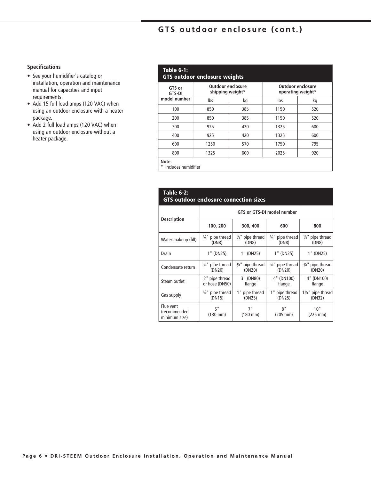# GTS outdoor enclosure (cont.)

#### **Specifications**

- See your humidifier's catalog or installation, operation and maintenance manual for capacities and input requirements.
- Add 15 full load amps (120 VAC) when using an outdoor enclosure with a heater package.
- Add 2 full load amps (120 VAC) when using an outdoor enclosure without a heater package.

| GTS or<br><b>GTS-DI</b> |      | Outdoor enclosure<br>shipping weight* |      | Outdoor enclosure<br>operating weight* |
|-------------------------|------|---------------------------------------|------|----------------------------------------|
| model number            | lbs  | kg                                    | Ibs  | kg                                     |
| 100                     | 850  | 385                                   | 1150 | 520                                    |
| 200                     | 850  | 385                                   | 1150 | 520                                    |
| 300                     | 925  | 420                                   | 1325 | 600                                    |
| 400                     | 925  | 420                                   | 1325 | 600                                    |
| 600                     | 1250 | 570                                   | 1750 | 795                                    |
| 800                     | 1325 | 600                                   | 2025 | 920                                    |

\* Includes humidifier

| Table 6-2:<br><b>GTS outdoor enclosure connection sizes</b> |                                       |                                       |                                       |                             |  |
|-------------------------------------------------------------|---------------------------------------|---------------------------------------|---------------------------------------|-----------------------------|--|
|                                                             |                                       |                                       | GTS or GTS-DI model number            |                             |  |
| <b>Description</b>                                          | 100, 200                              | 300, 400                              | 600                                   | 800                         |  |
| Water makeup (fill)                                         | $\frac{1}{4}$ " pipe thread<br>(DN8)  | $\frac{1}{4}$ " pipe thread<br>(DN8)  | $\frac{1}{4}$ " pipe thread<br>(DN8)  | 1/4" pipe thread<br>(DN8)   |  |
| <b>Drain</b>                                                | 1" (DN25)                             | 1" (DN25)                             | 1" (DN25)                             | 1" (DN25)                   |  |
| Condensate return                                           | $\frac{3}{4}$ " pipe thread<br>(DN20) | $\frac{3}{4}$ " pipe thread<br>(DN20) | $\frac{3}{4}$ " pipe thread<br>(DN20) | 3/4" pipe thread<br>(DN20)  |  |
| Steam outlet                                                | 2" pipe thread<br>or hose (DN50)      | 3" (DN80)<br>flange                   | 4" (DN100)<br>flange                  | 4" (DN100)<br>flange        |  |
| Gas supply                                                  | $\frac{1}{2}$ " pipe thread<br>(DN15) | 1 "<br>pipe thread<br>(DN25)          | 1" pipe thread<br>(DN25)              | 11/4" pipe thread<br>(DN32) |  |
| Flue vent<br>(recommended<br>minimum size)                  | 5"<br>$(130 \, \text{mm})$            | 7"<br>$(180 \text{ mm})$              | 8"<br>$(205 \, \text{mm})$            | 10"<br>$(225 \text{ mm})$   |  |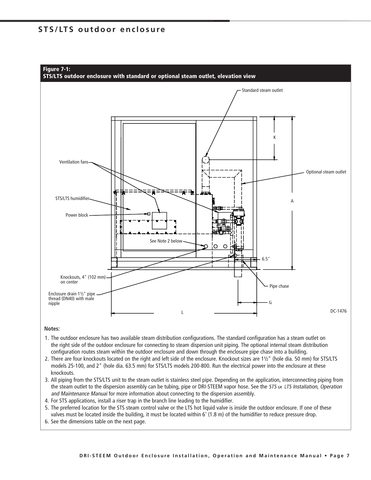### STS/LTS outdoor enclosure



#### Notes:

- 1. The outdoor enclosure has two available steam distribution configurations. The standard configuration has a steam outlet on the right side of the outdoor enclosure for connecting to steam dispersion unit piping. The optional internal steam distribution configuration routes steam within the outdoor enclosure and down through the enclosure pipe chase into a building.
- 2. There are four knockouts located on the right and left side of the enclosure. Knockout sizes are 1½" (hole dia. 50 mm) for STS/LTS models 25-100, and 2" (hole dia. 63.5 mm) for STS/LTS models 200-800. Run the electrical power into the enclosure at these knockouts.
- 3. All piping from the STS/LTS unit to the steam outlet is stainless steel pipe. Depending on the application, interconnecting piping from the steam outlet to the dispersion assembly can be tubing, pipe or DRI-STEEM vapor hose. See the STS or LTS Installation, Operation and Maintenance Manual for more information about connecting to the dispersion assembly.
- 4. For STS applications, install a riser trap in the branch line leading to the humidifier.
- 5. The preferred location for the STS steam control valve or the LTS hot liquid valve is inside the outdoor enclosure. If one of these valves must be located inside the building, it must be located within 6' (1.8 m) of the humidifier to reduce pressure drop.
- 6. See the dimensions table on the next page.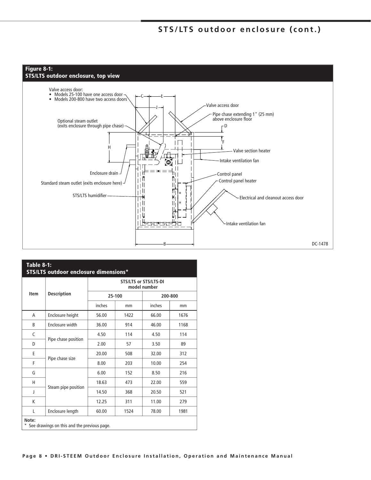# STS/LTS outdoor enclosure (cont.)



| <b>Table 8-1:</b><br><b>STS/LTS outdoor enclosure dimensions*</b> |                     |        |                              |              |         |
|-------------------------------------------------------------------|---------------------|--------|------------------------------|--------------|---------|
|                                                                   |                     |        | <b>STS/LTS or STS/LTS-DI</b> | model number |         |
| <b>Item</b>                                                       | <b>Description</b>  |        | 25-100                       |              | 200-800 |
|                                                                   |                     | inches | mm                           | inches       | mm      |
| A                                                                 | Enclosure height    | 56.00  | 1422                         | 66.00        | 1676    |
| B                                                                 | Enclosure width     | 36.00  | 914                          | 46.00        | 1168    |
| C                                                                 |                     | 4.50   | 114                          | 4.50         | 114     |
| D                                                                 | Pipe chase position | 2.00   | 57                           | 3.50         | 89      |
| E                                                                 | Pipe chase size     | 20.00  | 508                          | 32.00        | 312     |
| F                                                                 |                     | 8.00   | 203                          | 10.00        | 254     |
| G                                                                 |                     | 6.00   | 152                          | 8.50         | 216     |
| н                                                                 |                     | 18.63  | 473                          | 22.00        | 559     |
| J                                                                 | Steam pipe position | 14.50  | 368                          | 20.50        | 521     |
| K                                                                 |                     | 12.25  | 311                          | 11.00        | 279     |
| L                                                                 | Enclosure length    | 60.00  | 1524                         | 78.00        | 1981    |
| Note:<br>See drawings on this and the previous page.              |                     |        |                              |              |         |

|  |  |  | Page 8 . DRI-STEEM Outdoor Enclosure Installation, Operation and Maintenance Manual |  |
|--|--|--|-------------------------------------------------------------------------------------|--|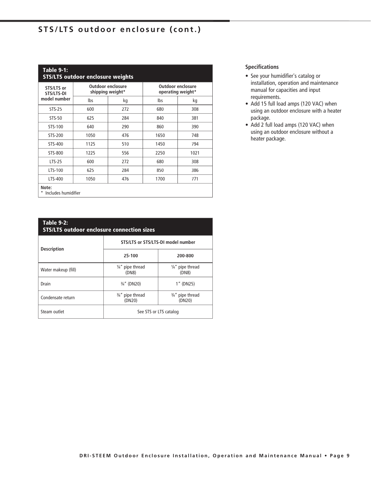# STS/LTS outdoor enclosure (cont.)

| <b>Table 9-1:</b><br><b>STS/LTS outdoor enclosure weights</b> |      |                                              |      |                                               |
|---------------------------------------------------------------|------|----------------------------------------------|------|-----------------------------------------------|
| STS/LTS or<br>STS/LTS-DI                                      |      | <b>Outdoor enclosure</b><br>shipping weight* |      | <b>Outdoor enclosure</b><br>operating weight* |
| model number                                                  | lbs  | kg                                           | lbs  | kg                                            |
| <b>STS-25</b>                                                 | 600  | 272                                          | 680  | 308                                           |
| STS-50                                                        | 625  | 284                                          | 840  | 381                                           |
| STS-100                                                       | 640  | 290                                          | 860  | 390                                           |
| STS-200                                                       | 1050 | 476                                          | 1650 | 748                                           |
| STS-400                                                       | 1125 | 510                                          | 1450 | 794                                           |
| STS-800                                                       | 1225 | 556                                          | 2250 | 1021                                          |
| $LTS-25$                                                      | 600  | 272                                          | 680  | 308                                           |
| LTS-100                                                       | 625  | 284                                          | 850  | 386                                           |
| LTS-400                                                       | 1050 | 476                                          | 1700 | 771                                           |
| Note:<br>Includes humidifier                                  |      |                                              |      |                                               |

| <b>Table 9-2:</b><br><b>STS/LTS outdoor enclosure connection sizes</b> |                                       |                                       |  |  |
|------------------------------------------------------------------------|---------------------------------------|---------------------------------------|--|--|
| <b>Description</b>                                                     | STS/LTS or STS/LTS-DI model number    |                                       |  |  |
|                                                                        | 25-100                                | 200-800                               |  |  |
| Water makeup (fill)                                                    | $\frac{1}{4}$ " pipe thread<br>(DN8)  | $\frac{1}{4}$ " pipe thread<br>(DN8)  |  |  |
| Drain                                                                  | $\frac{3}{4}$ " (DN20)                | 1" (DN25)                             |  |  |
| Condensate return                                                      | $\frac{3}{4}$ " pipe thread<br>(DN20) | $\frac{3}{4}$ " pipe thread<br>(DN20) |  |  |
| Steam outlet                                                           | See STS or LTS catalog                |                                       |  |  |

#### **Specifications**

- See your humidifier's catalog or installation, operation and maintenance manual for capacities and input requirements.
- Add 15 full load amps (120 VAC) when using an outdoor enclosure with a heater package.
- Add 2 full load amps (120 VAC) when using an outdoor enclosure without a heater package.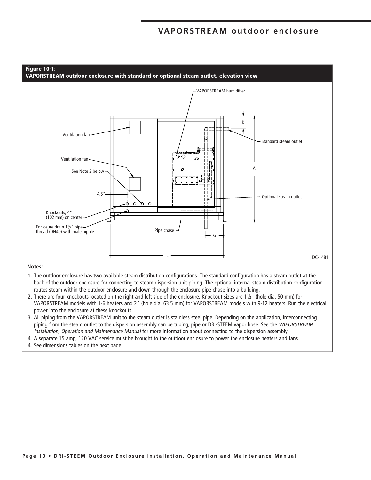### VAPORSTREAM outdoor enclosure



#### Notes:

- 1. The outdoor enclosure has two available steam distribution configurations. The standard configuration has a steam outlet at the back of the outdoor enclosure for connecting to steam dispersion unit piping. The optional internal steam distribution configuration routes steam within the outdoor enclosure and down through the enclosure pipe chase into a building.
- 2. There are four knockouts located on the right and left side of the enclosure. Knockout sizes are 11/2" (hole dia. 50 mm) for VAPORSTREAM models with 1-6 heaters and 2" (hole dia. 63.5 mm) for VAPORSTREAM models with 9-12 heaters. Run the electrical power into the enclosure at these knockouts.
- 3. All piping from the VAPORSTREAM unit to the steam outlet is stainless steel pipe. Depending on the application, interconnecting piping from the steam outlet to the dispersion assembly can be tubing, pipe or DRI-STEEM vapor hose. See the VAPORSTREAM Installation, Operation and Maintenance Manual for more information about connecting to the dispersion assembly.
- 4. A separate 15 amp, 120 VAC service must be brought to the outdoor enclosure to power the enclosure heaters and fans.
- 4. See dimensions tables on the next page.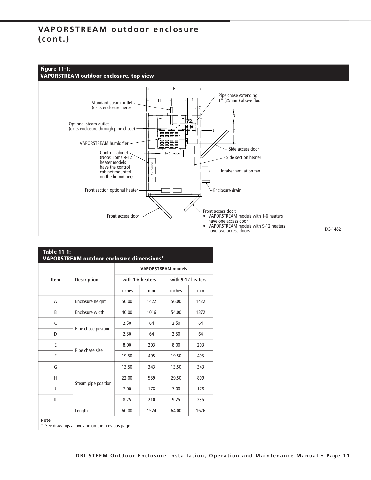# VAPORSTREAM outdoor enclosure  $(const.)$



**VAPORSTREAM outdoor enclosure, top view** 



|      |                     |        |                  | <b>VAPORSTREAM models</b> |                   |
|------|---------------------|--------|------------------|---------------------------|-------------------|
| Item | <b>Description</b>  |        | with 1-6 heaters |                           | with 9-12 heaters |
|      |                     | inches | mm               | inches                    | mm                |
| A    | Enclosure height    | 56.00  | 1422             | 56.00                     | 1422              |
| B    | Enclosure width     | 40.00  | 1016             | 54.00                     | 1372              |
| C    |                     | 2.50   | 64               | 2.50                      | 64                |
| D    | Pipe chase position | 2.50   | 64               | 2.50                      | 64                |
| Е    |                     | 8.00   | 203              | 8.00                      | 203               |
| F    | Pipe chase size     | 19.50  | 495              | 19.50                     | 495               |
| G    |                     | 13.50  | 343              | 13.50                     | 343               |
| н    |                     | 22.00  | 559              | 29.50                     | 899               |
| J    | Steam pipe position | 7.00   | 178              | 7.00                      | 178               |
| K    |                     | 8.25   | 210              | 9.25                      | 235               |
| L    | Length              | 60.00  | 1524             | 64.00                     | 1626              |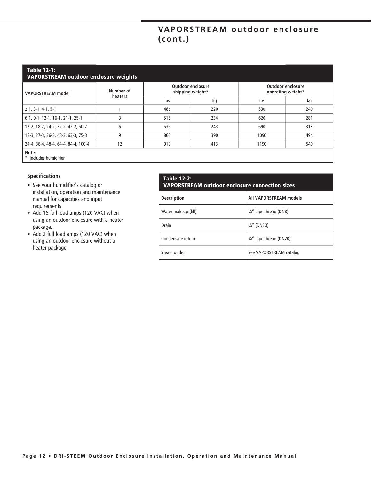# VAPORSTREAM outdoor enclosure  $(const.)$

### **Table 12-1:**

| <b>VAPORSTREAM outdoor enclosure weights</b> |                      |                  |                          |                                               |     |
|----------------------------------------------|----------------------|------------------|--------------------------|-----------------------------------------------|-----|
| <b>VAPORSTREAM</b> model                     | Number of<br>heaters | shipping weight* | <b>Outdoor enclosure</b> | <b>Outdoor enclosure</b><br>operating weight* |     |
|                                              |                      | lbs              | kg                       | lbs                                           | kg  |
| $2-1, 3-1, 4-1, 5-1$                         |                      | 485              | 220                      | 530                                           | 240 |
| 6-1, 9-1, 12-1, 16-1, 21-1, 25-1             |                      | 515              | 234                      | 620                                           | 281 |
| 12-2, 18-2, 24-2, 32-2, 42-2, 50-2           | 6                    | 535              | 243                      | 690                                           | 313 |
| 18-3, 27-3, 36-3, 48-3, 63-3, 75-3           | 9                    | 860              | 390                      | 1090                                          | 494 |
| 24-4, 36-4, 48-4, 64-4, 84-4, 100-4          | 12                   | 910              | 413                      | 1190                                          | 540 |
| Note:                                        |                      |                  |                          |                                               |     |

\* Includes humidifier

#### **Specifications**

- See your humidifier's catalog or installation, operation and maintenance manual for capacities and input requirements.
- Add 15 full load amps (120 VAC) when using an outdoor enclosure with a heater package.
- Add 2 full load amps (120 VAC) when using an outdoor enclosure without a heater package.

#### Table 12-2: VAPORSTREAM outdoor enclosure connection sizes

| <b>Description</b>  | All VAPORSTREAM models            |
|---------------------|-----------------------------------|
| Water makeup (fill) | $\frac{1}{4}$ " pipe thread (DN8) |
| Drain               | $\frac{3}{4}$ " (DN20)            |
| Condensate return   | 3/4" pipe thread (DN20)           |
| Steam outlet        | See VAPORSTREAM catalog           |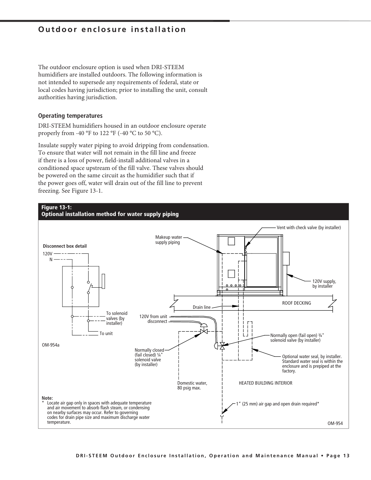### *<u>Outdoor enclosure installation</u>*

The outdoor enclosure option is used when DRI-STEEM humidifiers are installed outdoors. The following information is not intended to supersede any requirements of federal, state or local codes having jurisdiction; prior to installing the unit, consult authorities having jurisdiction.

#### **Operating temperatures**

DRI-STEEM humidifiers housed in an outdoor enclosure operate properly from -40 °F to 122 °F (-40 °C to 50 °C).

Insulate supply water piping to avoid dripping from condensation. To ensure that water will not remain in the fill line and freeze if there is a loss of power, field-install additional valves in a conditioned space upstream of the fill valve. These valves should be powered on the same circuit as the humidifier such that if the power goes off, water will drain out of the fill line to prevent freezing. See Figure 13-1.



Optional installation method for water supply piping

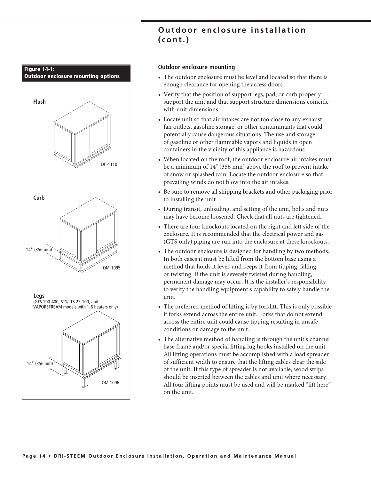

# Outdoor enclosure installation  $(const.)$

#### **Outdoor enclosure mounting**

- The outdoor enclosure must be level and located so that there is enough clearance for opening the access doors.
- Verify that the position of support legs, pad, or curb properly support the unit and that support structure dimensions coincide with unit dimensions.
- Locate unit so that air intakes are not too close to any exhaust fan outlets, gasoline storage, or other contaminants that could potentially cause dangerous situations. The use and storage of gasoline or other flammable vapors and liquids in open containers in the vicinity of this appliance is hazardous.
- When located on the roof, the outdoor enclosure air intakes must be a minimum of 14" (356 mm) above the roof to prevent intake of snow or splashed rain. Locate the outdoor enclosure so that prevailing winds do not blow into the air intakes.
- Be sure to remove all shipping brackets and other packaging prior to installing the unit.
- During transit, unloading, and setting of the unit, bolts and nuts may have become loosened. Check that all nuts are tightened.
- There are four knockouts located on the right and left side of the enclosure. It is recommended that the electrical power and gas (GTS only) piping are run into the enclosure at these knockouts.
- The outdoor enclosure is designed for handling by two methods. In both cases it must be lifted from the bottom base using a method that holds it level, and keeps it from tipping, falling, or twisting. If the unit is severely twisted during handling, permanent damage may occur. It is the installer's responsibility to verify the handling equipment's capability to safely handle the unit.
- The preferred method of lifting is by forklift. This is only possible if forks extend across the entire unit. Forks that do not extend across the entire unit could cause tipping resulting in unsafe conditions or damage to the unit.
- The alternative method of handling is through the unit's channel base frame and/or special lifting lug hooks installed on the unit. All lifting operations must be accomplished with a load spreader of sufficient width to ensure that the lifting cables clear the side of the unit. If this type of spreader is not available, wood strips should be inserted between the cables and unit where necessary. All four lifting points must be used and will be marked "lift here" on the unit.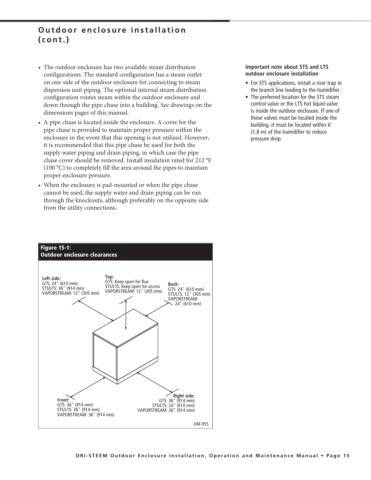### Outdoor enclosure installation  $(const.)$

- The outdoor enclosure has two available steam distribution configurations. The standard configuration has a steam outlet on one side of the outdoor enclosure for connecting to steam dispersion unit piping. The optional internal steam distribution configuration routes steam within the outdoor enclosure and down through the pipe chase into a building. See drawings on the dimensions pages of this manual.
- A pipe chase is located inside the enclosure. A cover for the pipe chase is provided to maintain proper pressure within the enclosure in the event that this opening is not utilized. However, it is recommended that this pipe chase be used for both the supply water piping and drain piping, in which case the pipe chase cover should be removed. Install insulation rated for 212 °F  $(100 \degree C)$  to completely fill the area around the pipes to maintain proper enclosure pressure.
- When the enclosure is pad-mounted or when the pipe chase cannot be used, the supply water and drain piping can be run through the knockouts, although preferably on the opposite side from the utility connections.

# **Figure 15-1: Outdoor enclosure clearances** Top:<br>GTS: Keep open for flue Left side: GTS: 24" (610 mm) Back: STS/LTS: Keep open for access STS/LTS: 36" (914 mm) GTS: 24" (610 mm)<br>STS/LTS: 12" (305 mm)<br>VAPORSTREAM: VAPORSTREAM: 12" (305 mm) VAPORSTREAM: 12" (305 mm) 24" (610 mm) **Right side:**<br>GTS: 36" (914 mm)<br>STS/LTS: 24" (610 mm) Front: GTS: 36" (914 mm) STS/LTS: 36" (914 mm) VAPORSTREAM: 36" (914 mm) VAPORSTREAM: 36" (914 mm) OM-955

#### Important note about STS and LTS outdoor enclosure installation

- For STS applications, install a riser trap in the branch line leading to the humidifier.
- The preferred location for the STS steam control valve or the LTS hot liquid valve is inside the outdoor enclosure. If one of these valves must be located inside the building, it must be located within 6' (1.8 m) of the humidifier to reduce pressure drop.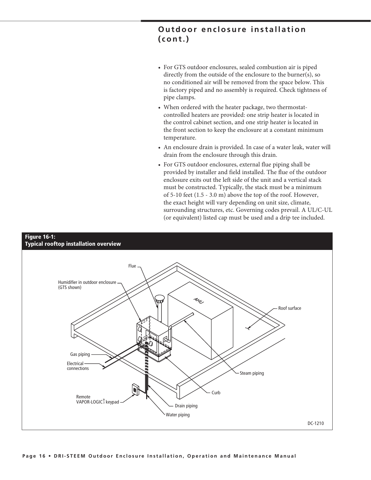### Outdoor enclosure installation  $($ cont. $)$

- For GTS outdoor enclosures, sealed combustion air is piped directly from the outside of the enclosure to the burner(s), so no conditioned air will be removed from the space below. This is factory piped and no assembly is required. Check tightness of pipe clamps.
- When ordered with the heater package, two thermostatcontrolled heaters are provided: one strip heater is located in the control cabinet section, and one strip heater is located in the front section to keep the enclosure at a constant minimum temperature.
- An enclosure drain is provided. In case of a water leak, water will drain from the enclosure through this drain.
- For GTS outdoor enclosures, external flue piping shall be provided by installer and field installed. The flue of the outdoor enclosure exits out the left side of the unit and a vertical stack must be constructed. Typically, the stack must be a minimum of 5-10 feet (1.5 - 3.0 m) above the top of the roof. However, the exact height will vary depending on unit size, climate, surrounding structures, etc. Governing codes prevail. A UL/C-UL (or equivalent) listed cap must be used and a drip tee included.

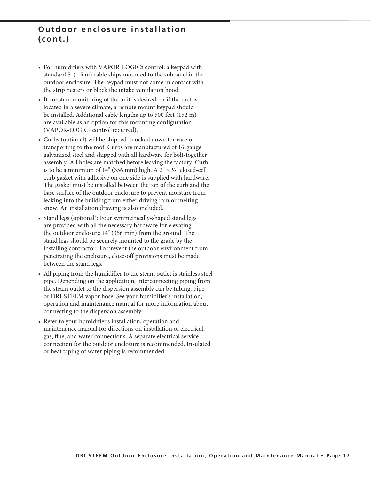### Outdoor enclosure installation  $($ cont. $)$

- For humidifiers with VAPOR-LOGIC3 control, a keypad with standard 5' (1.5 m) cable ships mounted to the subpanel in the outdoor enclosure. The keypad must not come in contact with the strip heaters or block the intake ventilation hood.
- If constant monitoring of the unit is desired, or if the unit is located in a severe climate, a remote mount keypad should be installed. Additional cable lengths up to 500 feet (152 m) are available as an option for this mounting configuration (VAPOR-LOGIC3 control required).
- Curbs (optional) will be shipped knocked down for ease of transporting to the roof. Curbs are manufactured of 16-gauge galvanized steel and shipped with all hardware for bolt-together assembly. All holes are matched before leaving the factory. Curb is to be a minimum of 14" (356 mm) high. A  $2" \times ½"$  closed-cell curb gasket with adhesive on one side is supplied with hardware. The gasket must be installed between the top of the curb and the base surface of the outdoor enclosure to prevent moisture from leaking into the building from either driving rain or melting snow. An installation drawing is also included.
- Stand legs (optional): Four symmetrically-shaped stand legs are provided with all the necessary hardware for elevating the outdoor enclosure 14" (356 mm) from the ground. The stand legs should be securely mounted to the grade by the installing contractor. To prevent the outdoor environment from penetrating the enclosure, close-off provisions must be made between the stand legs.
- All piping from the humidifier to the steam outlet is stainless steel pipe. Depending on the application, interconnecting piping from the steam outlet to the dispersion assembly can be tubing, pipe or DRI-STEEM vapor hose. See your humidifier's installation, operation and maintenance manual for more information about connecting to the dispersion assembly.
- Refer to your humidifier's installation, operation and maintenance manual for directions on installation of electrical, gas, flue, and water connections. A separate electrical service connection for the outdoor enclosure is recommended. Insulated or heat taping of water piping is recommended.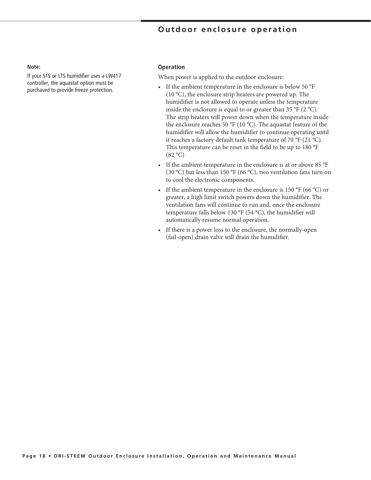### Outdoor enclosure operation

#### Note:

If your STS or LTS humidifier uses a LW417 controller, the aquastat option must be purchased to provide freeze protection.

#### **Operation**

When power is applied to the outdoor enclosure:

- If the ambient temperature in the enclosure is below 50 °F  $(10 °C)$ , the enclosure strip heaters are powered up. The humidifier is not allowed to operate unless the temperature inside the enclosure is equal to or greater than 35 °F (2 °C). The strip heaters will power down when the temperature inside the enclosure reaches 50 °F (10 °C). The aquastat feature of the humidifier will allow the humidifier to continue operating until it reaches a factory default tank temperature of 70 °F (21 °C). This temperature can be reset in the field to be up to 180 °F  $(82 °C)$
- If the ambient temperature in the enclosure is at or above 85 °F  $\bullet$ (30 °C) but less than 150 °F (66 °C), two ventilation fans turn on to cool the electronic components.
- If the ambient temperature in the enclosure is 150 °F (66 °C) or  $\bullet$ greater, a high limit switch powers down the humidifier. The ventilation fans will continue to run and, once the enclosure temperature falls below 130  $\mathrm{^{\circ}F}$  (54  $\mathrm{^{\circ}C}$ ), the humidifier will automatically resume normal operation.
- If there is a power loss to the enclosure, the normally-open (fail-open) drain valve will drain the humidifier.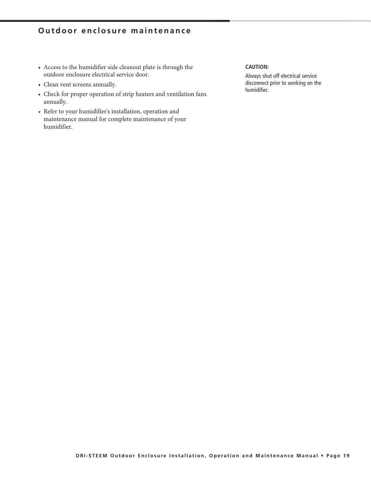# **Outdoor enclosure maintenance**

- Access to the humidifier side cleanout plate is through the outdoor enclosure electrical service door.
- Clean vent screens annually.
- Check for proper operation of strip heaters and ventilation fans annually.
- Refer to your humidifier's installation, operation and maintenance manual for complete maintenance of your humidifier.

#### **CAUTION:**

Always shut off electrical service disconnect prior to working on the humidifier.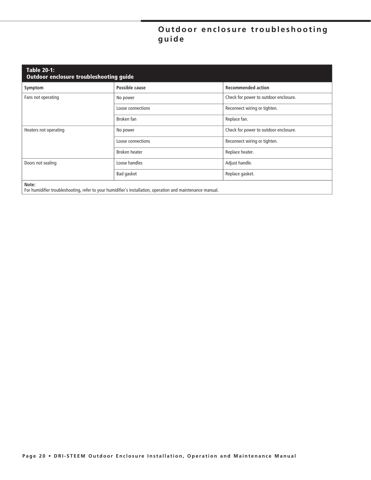# Outdoor enclosure troubleshooting guide

| <b>Table 20-1:</b><br>Outdoor enclosure troubleshooting guide |                                                                                                            |                                       |  |
|---------------------------------------------------------------|------------------------------------------------------------------------------------------------------------|---------------------------------------|--|
| Symptom                                                       | Possible cause                                                                                             | <b>Recommended action</b>             |  |
| Fans not operating                                            | No power                                                                                                   | Check for power to outdoor enclosure. |  |
|                                                               | Loose connections                                                                                          | Reconnect wiring or tighten.          |  |
|                                                               | Broken fan                                                                                                 | Replace fan.                          |  |
| Heaters not operating                                         | No power                                                                                                   | Check for power to outdoor enclosure. |  |
|                                                               | Loose connections                                                                                          | Reconnect wiring or tighten.          |  |
|                                                               | Broken heater                                                                                              | Replace heater.                       |  |
| Doors not sealing                                             | Loose handles                                                                                              | Adjust handle.                        |  |
|                                                               | Bad gasket                                                                                                 | Replace gasket.                       |  |
| Note:                                                         | For humidifier troubleshooting, refer to your humidifier's installation, operation and maintenance manual. |                                       |  |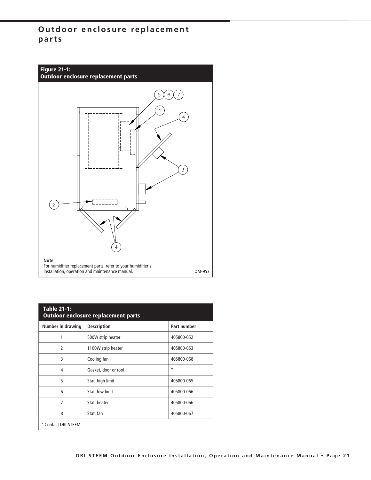# **Outdoor enclosure replacement** parts



| <b>Table 21-1:</b><br><b>Outdoor enclosure replacement parts</b> |                      |             |  |
|------------------------------------------------------------------|----------------------|-------------|--|
| Number in drawing                                                | <b>Description</b>   | Part number |  |
| 1                                                                | 500W strip heater    | 405800-052  |  |
| $\mathfrak{p}$                                                   | 1100W strip heater   | 405800-053  |  |
| 3                                                                | Cooling fan          | 405800-068  |  |
| 4                                                                | Gasket, door or roof | $\star$     |  |
| 5                                                                | Stat, high limit     | 405800-065  |  |
| 6                                                                | Stat, low limit      | 405800-066  |  |
| 7                                                                | Stat, heater         | 405800-066  |  |
| 8                                                                | Stat, fan            | 405800-067  |  |
| * Contact DRI-STEEM                                              |                      |             |  |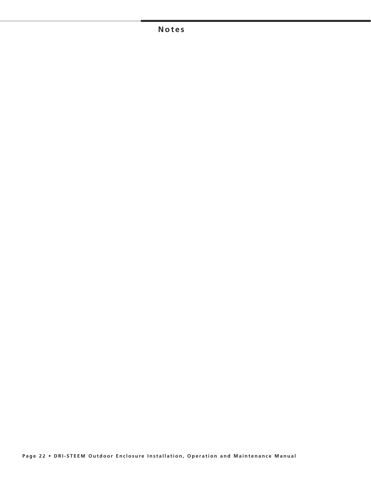### $N$  otes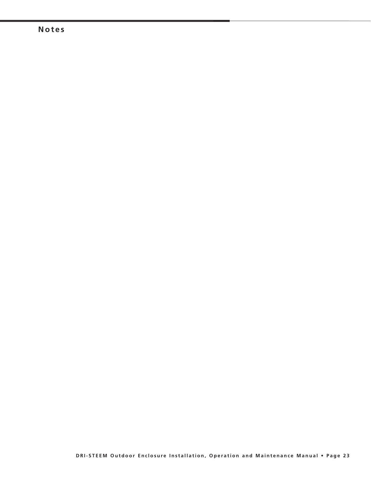### $N$  otes